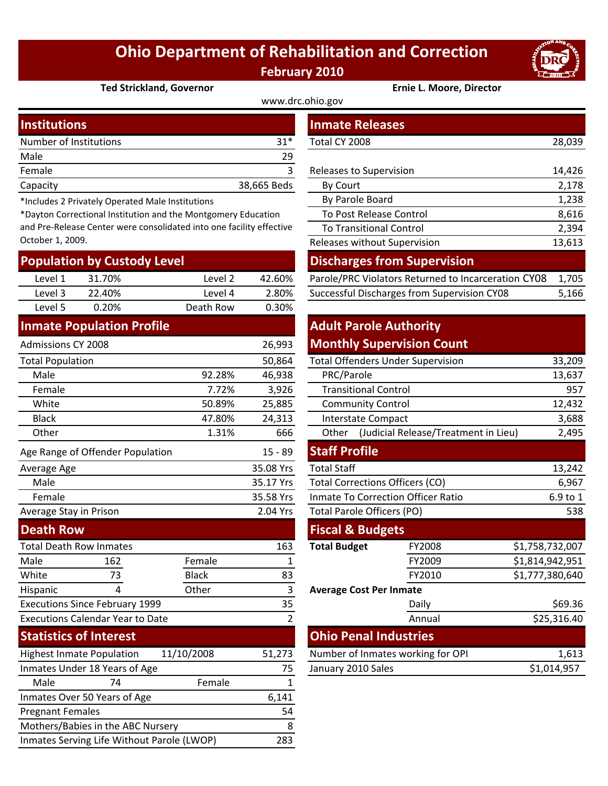# **Ohio Department of Rehabilitation and Correction February 2010**

www.drc.ohio.gov



#### **Ted Strickland, Governor Ernie L. Moore, Director**

| <b>Institutions</b>    |             | <b>Inmate Releases</b>  |        |  |
|------------------------|-------------|-------------------------|--------|--|
|                        |             |                         |        |  |
| Number of Institutions | $31*$       | Total CY 2008           | 28,039 |  |
| Male                   | 29          |                         |        |  |
| Female                 |             | Releases to Supervision | 14,426 |  |
| Capacity               | 38,665 Beds | By Court                | 2,178  |  |
|                        |             | _ _ _ _                 |        |  |

\*Includes 2 Privately Operated Male Institutions

\*Dayton Correctional Institution and the Montgomery Education and Pre‐Release Center were consolidated into one facility effective October 1, 2009.

| <b>Population by Custody Level</b> |        |           |        |  |  |  |
|------------------------------------|--------|-----------|--------|--|--|--|
| Level 1                            | 31.70% | Level 2   | 42.60% |  |  |  |
| Level 3                            | 22.40% | Level 4   | 2.80%  |  |  |  |
| Level 5                            | 0.20%  | Death Row | 0.30%  |  |  |  |

### **Inmate Population Profile**

| <b>Admissions CY 2008</b>                      |                                         |              | 26,993         | <b>Monthly Supervision C</b>          |                     |
|------------------------------------------------|-----------------------------------------|--------------|----------------|---------------------------------------|---------------------|
| <b>Total Population</b>                        |                                         |              | 50,864         | <b>Total Offenders Under Superv</b>   |                     |
| Male                                           |                                         | 92.28%       | 46,938         | PRC/Parole                            |                     |
| Female                                         |                                         | 7.72%        | 3,926          | <b>Transitional Control</b>           |                     |
| White                                          |                                         | 50.89%       | 25,885         | <b>Community Control</b>              |                     |
| <b>Black</b>                                   |                                         | 47.80%       | 24,313         | <b>Interstate Compact</b>             |                     |
| Other                                          |                                         | 1.31%        | 666            | Other                                 | (Judicial Release/T |
|                                                | Age Range of Offender Population        |              | $15 - 89$      | <b>Staff Profile</b>                  |                     |
| Average Age                                    |                                         |              | 35.08 Yrs      | <b>Total Staff</b>                    |                     |
| Male                                           |                                         |              | 35.17 Yrs      | <b>Total Corrections Officers (CO</b> |                     |
| Female                                         |                                         |              | 35.58 Yrs      | Inmate To Correction Officer I        |                     |
| Average Stay in Prison                         |                                         |              | 2.04 Yrs       | Total Parole Officers (PO)            |                     |
| <b>Death Row</b>                               |                                         |              |                | <b>Fiscal &amp; Budgets</b>           |                     |
| <b>Total Death Row Inmates</b>                 |                                         |              | 163            | <b>Total Budget</b>                   | FY2008              |
| Male                                           | 162                                     | Female       | 1              |                                       | FY2009              |
| White                                          | 73                                      | <b>Black</b> | 83             |                                       | FY2010              |
| Hispanic                                       | 4                                       | Other        | 3              | <b>Average Cost Per Inmate</b>        |                     |
|                                                | <b>Executions Since February 1999</b>   |              | 35             |                                       | Daily               |
|                                                | <b>Executions Calendar Year to Date</b> |              | $\overline{2}$ |                                       | Annual              |
|                                                | <b>Statistics of Interest</b>           |              |                | <b>Ohio Penal Industries</b>          |                     |
| 11/10/2008<br><b>Highest Inmate Population</b> |                                         |              | 51,273         | Number of Inmates working f           |                     |
|                                                | Inmates Under 18 Years of Age           |              | 75             | January 2010 Sales                    |                     |
| Male                                           | 74                                      | Female       | $\mathbf{1}$   |                                       |                     |
|                                                | Inmates Over 50 Years of Age            |              | 6,141          |                                       |                     |
| <b>Pregnant Females</b>                        |                                         |              | 54             |                                       |                     |
| Mothers/Babies in the ABC Nursery              |                                         |              | 8              |                                       |                     |

Inmates Serving Life Without Parole (LWOP) 283

| mber of Institutions<br>$31*$                                                                                                                                                    |                    |             | Total CY 2008                                       |        |  |
|----------------------------------------------------------------------------------------------------------------------------------------------------------------------------------|--------------------|-------------|-----------------------------------------------------|--------|--|
| le                                                                                                                                                                               |                    | 29          |                                                     |        |  |
| nale<br>3                                                                                                                                                                        |                    |             | Releases to Supervision                             |        |  |
| acity                                                                                                                                                                            |                    | 38,665 Beds | 2,178<br>By Court                                   |        |  |
| cludes 2 Privately Operated Male Institutions<br>lyton Correctional Institution and the Montgomery Education<br>Pre-Release Center were consolidated into one facility effective |                    |             | By Parole Board                                     | 1,238  |  |
|                                                                                                                                                                                  |                    |             | To Post Release Control                             | 8,616  |  |
|                                                                                                                                                                                  |                    |             | <b>To Transitional Control</b>                      | 2,394  |  |
| ober 1, 2009.                                                                                                                                                                    |                    |             | Releases without Supervision                        | 13,613 |  |
| pulation by Custody Level                                                                                                                                                        |                    |             | <b>Discharges from Supervision</b>                  |        |  |
| Level 1<br>31.70%                                                                                                                                                                | Level <sub>2</sub> | 42.60%      | Parole/PRC Violators Returned to Incarceration CY08 | 1,705  |  |
| Level 3<br>22.40%                                                                                                                                                                | Level 4            | 2.80%       | Successful Discharges from Supervision CY08         | 5,166  |  |

## **Monthly Supervision Count Adult Parole Authority**

|        | 50,864 | <b>Total Offenders Under Supervision</b>      | 33,209 |
|--------|--------|-----------------------------------------------|--------|
| 92.28% | 46,938 | PRC/Parole                                    | 13,637 |
| 7.72%  | 3,926  | <b>Transitional Control</b>                   | 957    |
| 50.89% | 25,885 | <b>Community Control</b>                      | 12,432 |
| 47.80% | 24,313 | Interstate Compact                            | 3,688  |
| 1.31%  | 666    | (Judicial Release/Treatment in Lieu)<br>Other | 2,495  |

### **Staff Profile**

| Average Age                                    |                                         |              | 35.08 Yrs                         | Total Staff                            |               | 13,242          |
|------------------------------------------------|-----------------------------------------|--------------|-----------------------------------|----------------------------------------|---------------|-----------------|
| Male                                           |                                         |              | 35.17 Yrs                         | <b>Total Corrections Officers (CO)</b> |               | 6,967           |
| Female                                         |                                         |              | 35.58 Yrs                         | Inmate To Correction Officer Ratio     |               | 6.9 to 1        |
|                                                | Average Stay in Prison                  |              | 2.04 Yrs                          | Total Parole Officers (PO)             |               | 538             |
| <b>Death Row</b>                               |                                         |              |                                   | <b>Fiscal &amp; Budgets</b>            |               |                 |
| <b>Total Death Row Inmates</b>                 |                                         |              | 163                               | <b>Total Budget</b>                    | <b>FY2008</b> | \$1,758,732,007 |
| Male                                           | 162                                     | Female       |                                   |                                        | FY2009        | \$1,814,942,951 |
| White                                          | 73                                      | <b>Black</b> | 83                                |                                        | FY2010        | \$1,777,380,640 |
| Hispanic                                       | 4                                       | Other        | 3                                 | <b>Average Cost Per Inmate</b>         |               |                 |
| <b>Executions Since February 1999</b><br>35    |                                         |              |                                   | Daily                                  | \$69.36       |                 |
|                                                | <b>Executions Calendar Year to Date</b> |              |                                   |                                        | Annual        | \$25,316.40     |
| <b>Statistics of Interest</b>                  |                                         |              |                                   | <b>Ohio Penal Industries</b>           |               |                 |
| 11/10/2008<br><b>Highest Inmate Population</b> |                                         | 51,273       | Number of Inmates working for OPI |                                        | 1,613         |                 |
| Inmates Under 18 Years of Age<br>75            |                                         |              | January 2010 Sales                |                                        | \$1,014,957   |                 |
|                                                |                                         |              |                                   |                                        |               |                 |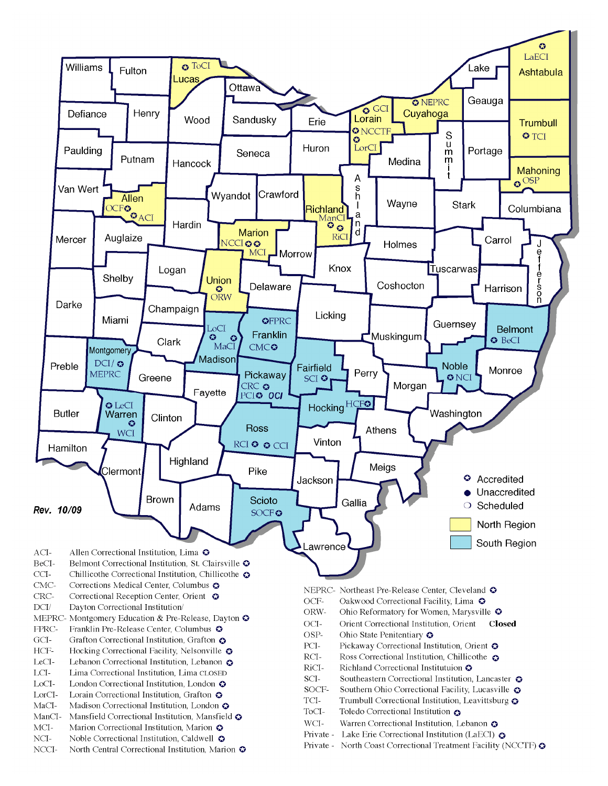